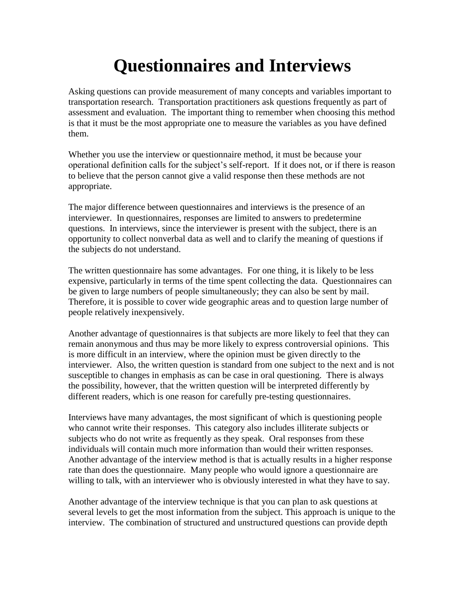## **Questionnaires and Interviews**

Asking questions can provide measurement of many concepts and variables important to transportation research. Transportation practitioners ask questions frequently as part of assessment and evaluation. The important thing to remember when choosing this method is that it must be the most appropriate one to measure the variables as you have defined them.

Whether you use the interview or questionnaire method, it must be because your operational definition calls for the subject's self-report. If it does not, or if there is reason to believe that the person cannot give a valid response then these methods are not appropriate.

The major difference between questionnaires and interviews is the presence of an interviewer. In questionnaires, responses are limited to answers to predetermine questions. In interviews, since the interviewer is present with the subject, there is an opportunity to collect nonverbal data as well and to clarify the meaning of questions if the subjects do not understand.

The written questionnaire has some advantages. For one thing, it is likely to be less expensive, particularly in terms of the time spent collecting the data. Questionnaires can be given to large numbers of people simultaneously; they can also be sent by mail. Therefore, it is possible to cover wide geographic areas and to question large number of people relatively inexpensively.

Another advantage of questionnaires is that subjects are more likely to feel that they can remain anonymous and thus may be more likely to express controversial opinions. This is more difficult in an interview, where the opinion must be given directly to the interviewer. Also, the written question is standard from one subject to the next and is not susceptible to changes in emphasis as can be case in oral questioning. There is always the possibility, however, that the written question will be interpreted differently by different readers, which is one reason for carefully pre-testing questionnaires.

Interviews have many advantages, the most significant of which is questioning people who cannot write their responses. This category also includes illiterate subjects or subjects who do not write as frequently as they speak. Oral responses from these individuals will contain much more information than would their written responses. Another advantage of the interview method is that is actually results in a higher response rate than does the questionnaire. Many people who would ignore a questionnaire are willing to talk, with an interviewer who is obviously interested in what they have to say.

Another advantage of the interview technique is that you can plan to ask questions at several levels to get the most information from the subject. This approach is unique to the interview. The combination of structured and unstructured questions can provide depth